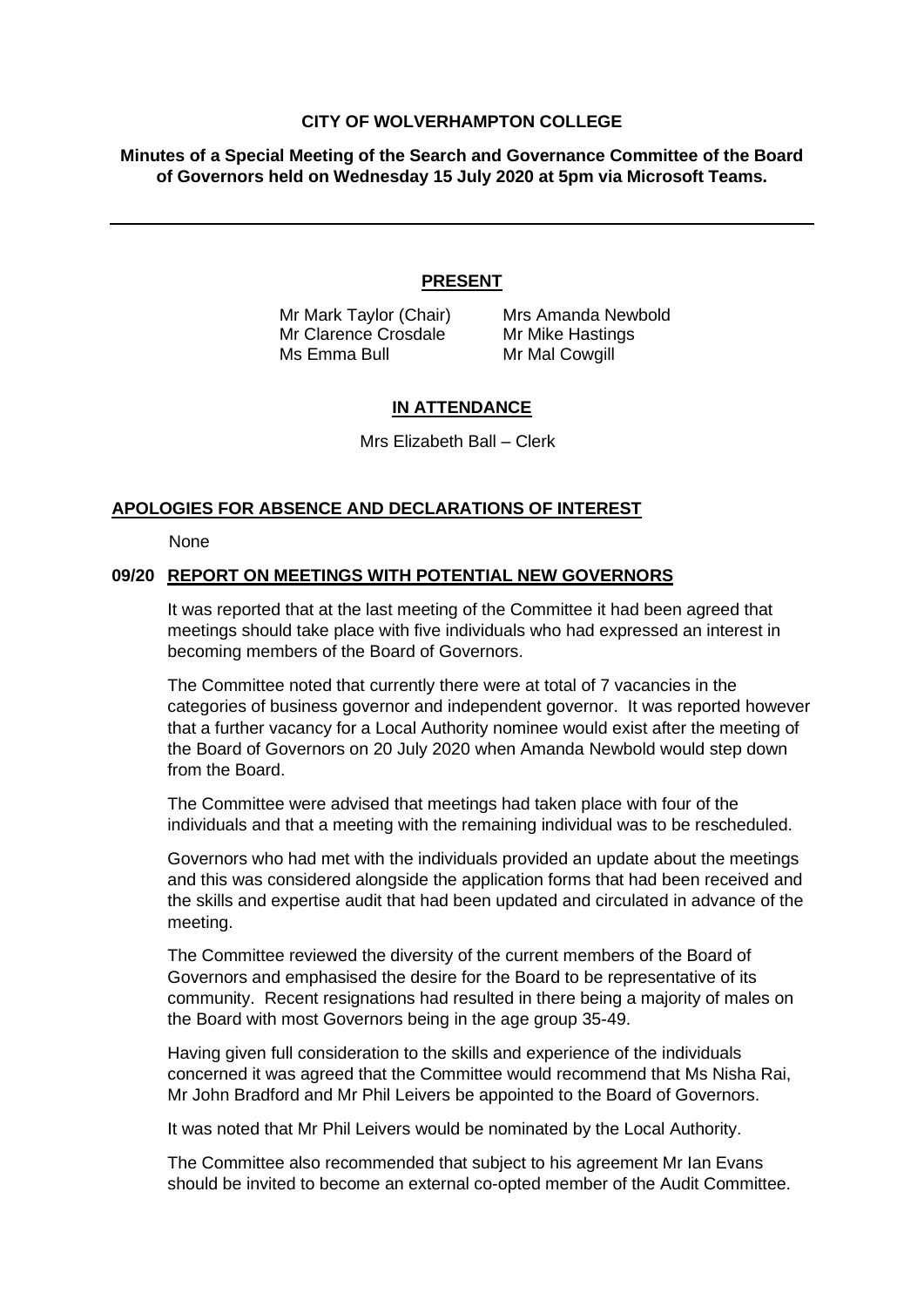#### **CITY OF WOLVERHAMPTON COLLEGE**

**Minutes of a Special Meeting of the Search and Governance Committee of the Board of Governors held on Wednesday 15 July 2020 at 5pm via Microsoft Teams.**

## **PRESENT**

Mr Clarence Crosdale Mr Mike Hastings Ms Emma Bull Mr Mal Cowgill

Mr Mark Taylor (Chair) Mrs Amanda Newbold

# **IN ATTENDANCE**

Mrs Elizabeth Ball – Clerk

## **APOLOGIES FOR ABSENCE AND DECLARATIONS OF INTEREST**

None

## **09/20 REPORT ON MEETINGS WITH POTENTIAL NEW GOVERNORS**

It was reported that at the last meeting of the Committee it had been agreed that meetings should take place with five individuals who had expressed an interest in becoming members of the Board of Governors.

The Committee noted that currently there were at total of 7 vacancies in the categories of business governor and independent governor. It was reported however that a further vacancy for a Local Authority nominee would exist after the meeting of the Board of Governors on 20 July 2020 when Amanda Newbold would step down from the Board.

The Committee were advised that meetings had taken place with four of the individuals and that a meeting with the remaining individual was to be rescheduled.

Governors who had met with the individuals provided an update about the meetings and this was considered alongside the application forms that had been received and the skills and expertise audit that had been updated and circulated in advance of the meeting.

The Committee reviewed the diversity of the current members of the Board of Governors and emphasised the desire for the Board to be representative of its community. Recent resignations had resulted in there being a majority of males on the Board with most Governors being in the age group 35-49.

Having given full consideration to the skills and experience of the individuals concerned it was agreed that the Committee would recommend that Ms Nisha Rai, Mr John Bradford and Mr Phil Leivers be appointed to the Board of Governors.

It was noted that Mr Phil Leivers would be nominated by the Local Authority.

The Committee also recommended that subject to his agreement Mr Ian Evans should be invited to become an external co-opted member of the Audit Committee.